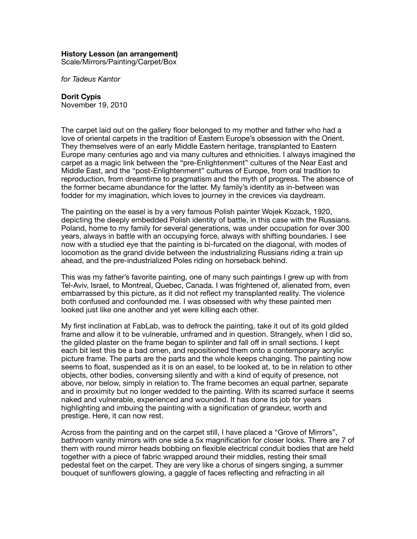## **History Lesson (an arrangement)**

Scale/Mirrors/Painting/Carpet/Box

*for Tadeus Kantor*

## **Dorit Cypis**

November 19, 2010

The carpet laid out on the gallery floor belonged to my mother and father who had a love of oriental carpets in the tradition of Eastern Europe's obsession with the Orient. They themselves were of an early Middle Eastern heritage, transplanted to Eastern Europe many centuries ago and via many cultures and ethnicities. I always imagined the carpet as a magic link between the "pre-Enlightenment" cultures of the Near East and Middle East, and the "post-Enlightenment" cultures of Europe, from oral tradition to reproduction, from dreamtime to pragmatism and the myth of progress. The absence of the former became abundance for the latter. My family's identity as in-between was fodder for my imagination, which loves to journey in the crevices via daydream.

The painting on the easel is by a very famous Polish painter Wojek Kozack, 1920, depicting the deeply embedded Polish identity of battle, in this case with the Russians. Poland, home to my family for several generations, was under occupation for over 300 years, always in battle with an occupying force, always with shifting boundaries. I see now with a studied eye that the painting is bi-furcated on the diagonal, with modes of locomotion as the grand divide between the industrializing Russians riding a train up ahead, and the pre-industrialized Poles riding on horseback behind.

This was my father's favorite painting, one of many such paintings I grew up with from Tel-Aviv, Israel, to Montreal, Quebec, Canada. I was frightened of, alienated from, even embarrassed by this picture, as it did not reflect my transplanted reality. The violence both confused and confounded me. I was obsessed with why these painted men looked just like one another and yet were killing each other.

My first inclination at FabLab, was to defrock the painting, take it out of its gold gilded frame and allow it to be vulnerable, unframed and in question. Strangely, when I did so, the gilded plaster on the frame began to splinter and fall off in small sections. I kept each bit lest this be a bad omen, and repositioned them onto a contemporary acrylic picture frame. The parts are the parts and the whole keeps changing. The painting now seems to float, suspended as it is on an easel, to be looked at, to be in relation to other objects, other bodies, conversing silently and with a kind of equity of presence, not above, nor below, simply in relation to. The frame becomes an equal partner, separate and in proximity but no longer wedded to the painting. With its scarred surface it seems naked and vulnerable, experienced and wounded. It has done its job for years highlighting and imbuing the painting with a signification of grandeur, worth and prestige. Here, it can now rest.

Across from the painting and on the carpet still, I have placed a "Grove of Mirrors", bathroom vanity mirrors with one side a 5x magnification for closer looks. There are 7 of them with round mirror heads bobbing on flexible electrical conduit bodies that are held together with a piece of fabric wrapped around their middles, resting their small pedestal feet on the carpet. They are very like a chorus of singers singing, a summer bouquet of sunflowers glowing, a gaggle of faces reflecting and refracting in all